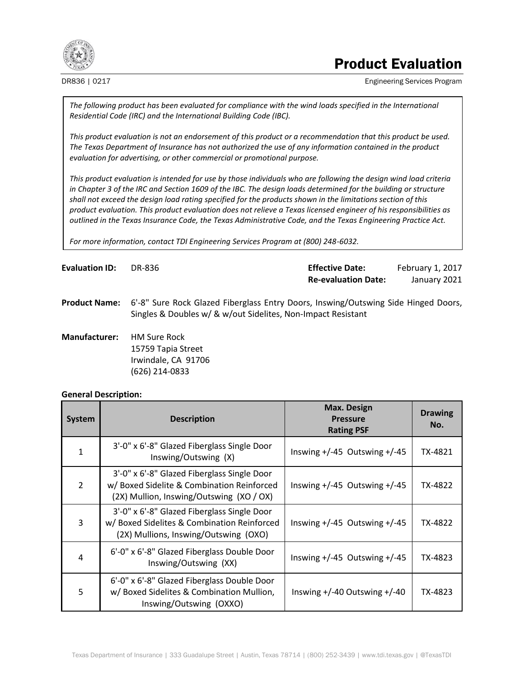

# Product Evaluation

DR836 | 0217 **Engineering Services Program** Engineering Services Program

*The following product has been evaluated for compliance with the wind loads specified in the International Residential Code (IRC) and the International Building Code (IBC).*

*This product evaluation is not an endorsement of this product or a recommendation that this product be used. The Texas Department of Insurance has not authorized the use of any information contained in the product evaluation for advertising, or other commercial or promotional purpose.*

*This product evaluation is intended for use by those individuals who are following the design wind load criteria in Chapter 3 of the IRC and Section 1609 of the IBC. The design loads determined for the building or structure shall not exceed the design load rating specified for the products shown in the limitations section of this product evaluation. This product evaluation does not relieve a Texas licensed engineer of his responsibilities as outlined in the Texas Insurance Code, the Texas Administrative Code, and the Texas Engineering Practice Act.*

*For more information, contact TDI Engineering Services Program at (800) 248-6032.*

| <b>Evaluation ID:</b> | DR-836 | <b>Effective Date:</b>     | February 1, 2017 |
|-----------------------|--------|----------------------------|------------------|
|                       |        | <b>Re-evaluation Date:</b> | January 2021     |

**Product Name:** 6'-8" Sure Rock Glazed Fiberglass Entry Doors, Inswing/Outswing Side Hinged Doors, Singles & Doubles w/ & w/out Sidelites, Non-Impact Resistant

**Manufacturer:** HM Sure Rock 15759 Tapia Street Irwindale, CA 91706 (626) 214-0833

#### **General Description:**

| <b>System</b>  | <b>Description</b>                                                                                                                    | <b>Max. Design</b><br><b>Pressure</b><br><b>Rating PSF</b> | <b>Drawing</b><br>No. |
|----------------|---------------------------------------------------------------------------------------------------------------------------------------|------------------------------------------------------------|-----------------------|
|                | 3'-0" x 6'-8" Glazed Fiberglass Single Door<br>Inswing/Outswing (X)                                                                   | Inswing $+/-45$ Outswing $+/-45$                           | TX-4821               |
| $\overline{2}$ | 3'-0" x 6'-8" Glazed Fiberglass Single Door<br>w/ Boxed Sidelite & Combination Reinforced<br>(2X) Mullion, Inswing/Outswing (XO / OX) | Inswing $+/-45$ Outswing $+/-45$                           | TX-4822               |
| 3              | 3'-0" x 6'-8" Glazed Fiberglass Single Door<br>w/Boxed Sidelites & Combination Reinforced<br>(2X) Mullions, Inswing/Outswing (OXO)    | Inswing $+/-45$ Outswing $+/-45$                           | TX-4822               |
| 4              | 6'-0" x 6'-8" Glazed Fiberglass Double Door<br>Inswing/Outswing (XX)                                                                  | Inswing $+/-45$ Outswing $+/-45$                           | TX-4823               |
| 5              | 6'-0" x 6'-8" Glazed Fiberglass Double Door<br>w/Boxed Sidelites & Combination Mullion,<br>Inswing/Outswing (OXXO)                    | Inswing $+/-40$ Outswing $+/-40$                           | TX-4823               |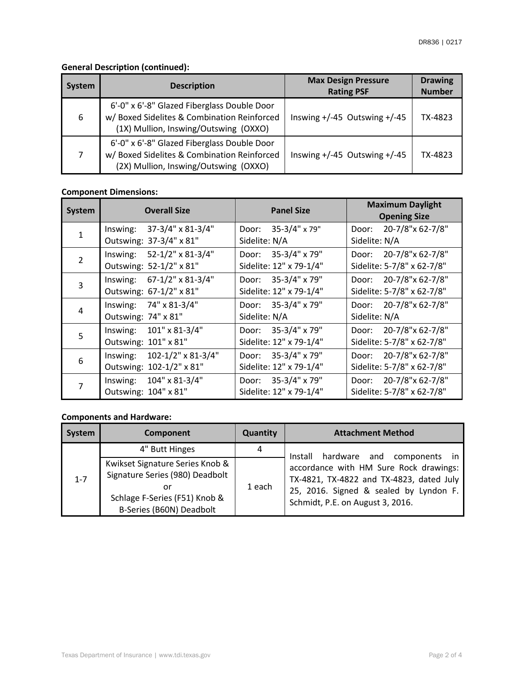# **General Description (continued):**

| System | <b>Description</b>                                                                                                                  | <b>Max Design Pressure</b><br><b>Rating PSF</b> | <b>Drawing</b><br><b>Number</b> |
|--------|-------------------------------------------------------------------------------------------------------------------------------------|-------------------------------------------------|---------------------------------|
| 6      | 6'-0" x 6'-8" Glazed Fiberglass Double Door<br>w/ Boxed Sidelites & Combination Reinforced<br>(1X) Mullion, Inswing/Outswing (OXXO) | Inswing $+/-45$ Outswing $+/-45$                | TX-4823                         |
| 7      | 6'-0" x 6'-8" Glazed Fiberglass Double Door<br>w/Boxed Sidelites & Combination Reinforced<br>(2X) Mullion, Inswing/Outswing (OXXO)  | Inswing $+/-45$ Outswing $+/-45$                | TX-4823                         |

## **Component Dimensions:**

| <b>System</b> | <b>Overall Size</b>                                             | <b>Panel Size</b>                              | <b>Maximum Daylight</b><br><b>Opening Size</b>          |
|---------------|-----------------------------------------------------------------|------------------------------------------------|---------------------------------------------------------|
|               | 37-3/4" x 81-3/4"<br>Inswing:<br>Outswing: 37-3/4" x 81"        | Door: 35-3/4" x 79"<br>Sidelite: N/A           | 20-7/8"x 62-7/8"<br>Door:<br>Sidelite: N/A              |
| $\mathcal{P}$ | 52-1/2" x 81-3/4"<br>Inswing:<br>Outswing: 52-1/2" x 81"        | Door: 35-3/4" x 79"<br>Sidelite: 12" x 79-1/4" | 20-7/8"x 62-7/8"<br>Door:<br>Sidelite: 5-7/8" x 62-7/8" |
| 3             | Inswing: $67-1/2$ " x 81-3/4"<br>Outswing: 67-1/2" x 81"        | Door: 35-3/4" x 79"<br>Sidelite: 12" x 79-1/4" | Door: 20-7/8"x 62-7/8"<br>Sidelite: 5-7/8" x 62-7/8"    |
| 4             | Inswing: 74" x 81-3/4"<br>Outswing: 74" x 81"                   | Door: 35-3/4" x 79"<br>Sidelite: N/A           | Door: 20-7/8"x 62-7/8"<br>Sidelite: N/A                 |
| 5             | Inswing: 101" x 81-3/4"<br>Outswing: 101" x 81"                 | Door: 35-3/4" x 79"<br>Sidelite: 12" x 79-1/4" | Door: 20-7/8"x 62-7/8"<br>Sidelite: 5-7/8" x 62-7/8"    |
| 6             | $102 - 1/2$ " x 81-3/4"<br>Inswing:<br>Outswing: 102-1/2" x 81" | Door: 35-3/4" x 79"<br>Sidelite: 12" x 79-1/4" | 20-7/8"x 62-7/8"<br>Door:<br>Sidelite: 5-7/8" x 62-7/8" |
|               | 104" x 81-3/4"<br>Inswing:<br>Outswing: 104" x 81"              | Door: 35-3/4" x 79"<br>Sidelite: 12" x 79-1/4" | 20-7/8"x 62-7/8"<br>Door:<br>Sidelite: 5-7/8" x 62-7/8" |

## **Components and Hardware:**

| <b>System</b> | Component                                                                                                                             | <b>Quantity</b> | <b>Attachment Method</b>                                                                                                                                         |
|---------------|---------------------------------------------------------------------------------------------------------------------------------------|-----------------|------------------------------------------------------------------------------------------------------------------------------------------------------------------|
|               | 4" Butt Hinges                                                                                                                        | 4               | hardware and<br>Install<br>components in                                                                                                                         |
| $1 - 7$       | Kwikset Signature Series Knob &<br>Signature Series (980) Deadbolt<br>or<br>Schlage F-Series (F51) Knob &<br>B-Series (B60N) Deadbolt | 1 each          | accordance with HM Sure Rock drawings:<br>TX-4821, TX-4822 and TX-4823, dated July<br>25, 2016. Signed & sealed by Lyndon F.<br>Schmidt, P.E. on August 3, 2016. |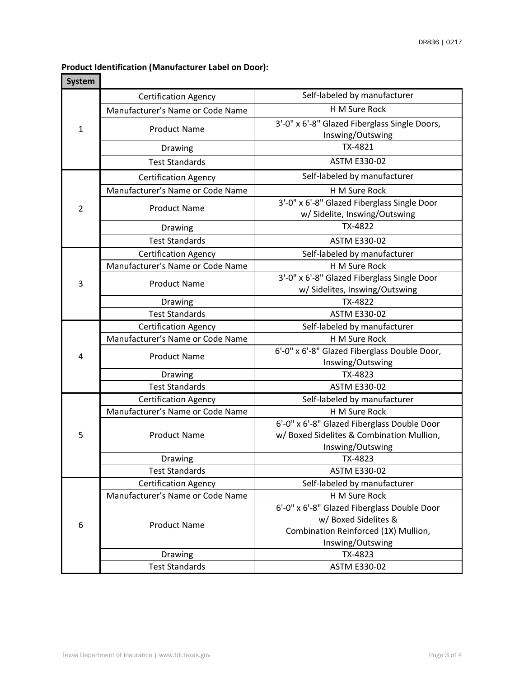#### **Product Identification (Manufacturer Label on Door):**

| <b>System</b>  |                                  |                                                                               |  |
|----------------|----------------------------------|-------------------------------------------------------------------------------|--|
|                | <b>Certification Agency</b>      | Self-labeled by manufacturer                                                  |  |
|                | Manufacturer's Name or Code Name | H M Sure Rock                                                                 |  |
| $\mathbf{1}$   | <b>Product Name</b>              | 3'-0" x 6'-8" Glazed Fiberglass Single Doors,<br>Inswing/Outswing             |  |
|                | Drawing                          | TX-4821                                                                       |  |
|                | <b>Test Standards</b>            | <b>ASTM E330-02</b>                                                           |  |
|                | <b>Certification Agency</b>      | Self-labeled by manufacturer                                                  |  |
|                | Manufacturer's Name or Code Name | H M Sure Rock                                                                 |  |
| $\overline{2}$ | <b>Product Name</b>              | 3'-0" x 6'-8" Glazed Fiberglass Single Door<br>w/ Sidelite, Inswing/Outswing  |  |
|                | Drawing                          | TX-4822                                                                       |  |
|                | <b>Test Standards</b>            | <b>ASTM E330-02</b>                                                           |  |
|                | <b>Certification Agency</b>      | Self-labeled by manufacturer                                                  |  |
|                | Manufacturer's Name or Code Name | H M Sure Rock                                                                 |  |
| 3              | <b>Product Name</b>              | 3'-0" x 6'-8" Glazed Fiberglass Single Door<br>w/ Sidelites, Inswing/Outswing |  |
|                | Drawing                          | TX-4822                                                                       |  |
|                | <b>Test Standards</b>            | <b>ASTM E330-02</b>                                                           |  |
|                | <b>Certification Agency</b>      | Self-labeled by manufacturer                                                  |  |
|                | Manufacturer's Name or Code Name | H M Sure Rock                                                                 |  |
| 4              | <b>Product Name</b>              | 6'-0" x 6'-8" Glazed Fiberglass Double Door,<br>Inswing/Outswing              |  |
|                | Drawing                          | TX-4823                                                                       |  |
|                | <b>Test Standards</b>            | ASTM E330-02                                                                  |  |
|                | <b>Certification Agency</b>      | Self-labeled by manufacturer                                                  |  |
|                | Manufacturer's Name or Code Name | H M Sure Rock                                                                 |  |
|                |                                  | 6'-0" x 6'-8" Glazed Fiberglass Double Door                                   |  |
| 5              | <b>Product Name</b>              | w/ Boxed Sidelites & Combination Mullion,                                     |  |
|                |                                  | Inswing/Outswing                                                              |  |
|                | Drawing<br><b>Test Standards</b> | TX-4823<br>ASTM E330-02                                                       |  |
|                | <b>Certification Agency</b>      | Self-labeled by manufacturer                                                  |  |
|                | Manufacturer's Name or Code Name | H M Sure Rock                                                                 |  |
|                |                                  | 6'-0" x 6'-8" Glazed Fiberglass Double Door                                   |  |
| 6              |                                  | w/ Boxed Sidelites &                                                          |  |
|                | <b>Product Name</b>              | Combination Reinforced (1X) Mullion,                                          |  |
|                |                                  | Inswing/Outswing                                                              |  |
|                | Drawing                          | TX-4823                                                                       |  |
|                | <b>Test Standards</b>            | <b>ASTM E330-02</b>                                                           |  |